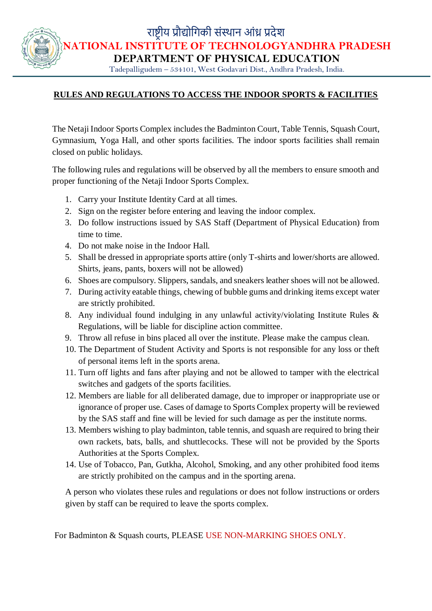राष्ट्रीय प्रौद्योगिकी संस्थान आंध्र प्रदेश

**NATIONAL INSTITUTE OF TECHNOLOGYANDHRA PRADESH**

**DEPARTMENT OF PHYSICAL EDUCATION** 

Tadepalligudem – 534101, West Godavari Dist., Andhra Pradesh, India.

## **RULES AND REGULATIONS TO ACCESS THE INDOOR SPORTS & FACILITIES**

The Netaji Indoor Sports Complex includes the Badminton Court, Table Tennis, Squash Court, Gymnasium, Yoga Hall, and other sports facilities. The indoor sports facilities shall remain closed on public holidays.

The following rules and regulations will be observed by all the members to ensure smooth and proper functioning of the Netaji Indoor Sports Complex.

- 1. Carry your Institute Identity Card at all times.
- 2. Sign on the register before entering and leaving the indoor complex.
- 3. Do follow instructions issued by SAS Staff (Department of Physical Education) from time to time.
- 4. Do not make noise in the Indoor Hall.
- 5. Shall be dressed in appropriate sports attire (only T-shirts and lower/shorts are allowed. Shirts, jeans, pants, boxers will not be allowed)
- 6. Shoes are compulsory. Slippers, sandals, and sneakers leather shoes will not be allowed.
- 7. During activity eatable things, chewing of bubble gums and drinking items except water are strictly prohibited.
- 8. Any individual found indulging in any unlawful activity/violating Institute Rules & Regulations, will be liable for discipline action committee.
- 9. Throw all refuse in bins placed all over the institute. Please make the campus clean.
- 10. The Department of Student Activity and Sports is not responsible for any loss or theft of personal items left in the sports arena.
- 11. Turn off lights and fans after playing and not be allowed to tamper with the electrical switches and gadgets of the sports facilities.
- 12. Members are liable for all deliberated damage, due to improper or inappropriate use or ignorance of proper use. Cases of damage to Sports Complex property will be reviewed by the SAS staff and fine will be levied for such damage as per the institute norms.
- 13. Members wishing to play badminton, table tennis, and squash are required to bring their own rackets, bats, balls, and shuttlecocks. These will not be provided by the Sports Authorities at the Sports Complex.
- 14. Use of Tobacco, Pan, Gutkha, Alcohol, Smoking, and any other prohibited food items are strictly prohibited on the campus and in the sporting arena.

A person who violates these rules and regulations or does not follow instructions or orders given by staff can be required to leave the sports complex.

For Badminton & Squash courts, PLEASE USE NON-MARKING SHOES ONLY.